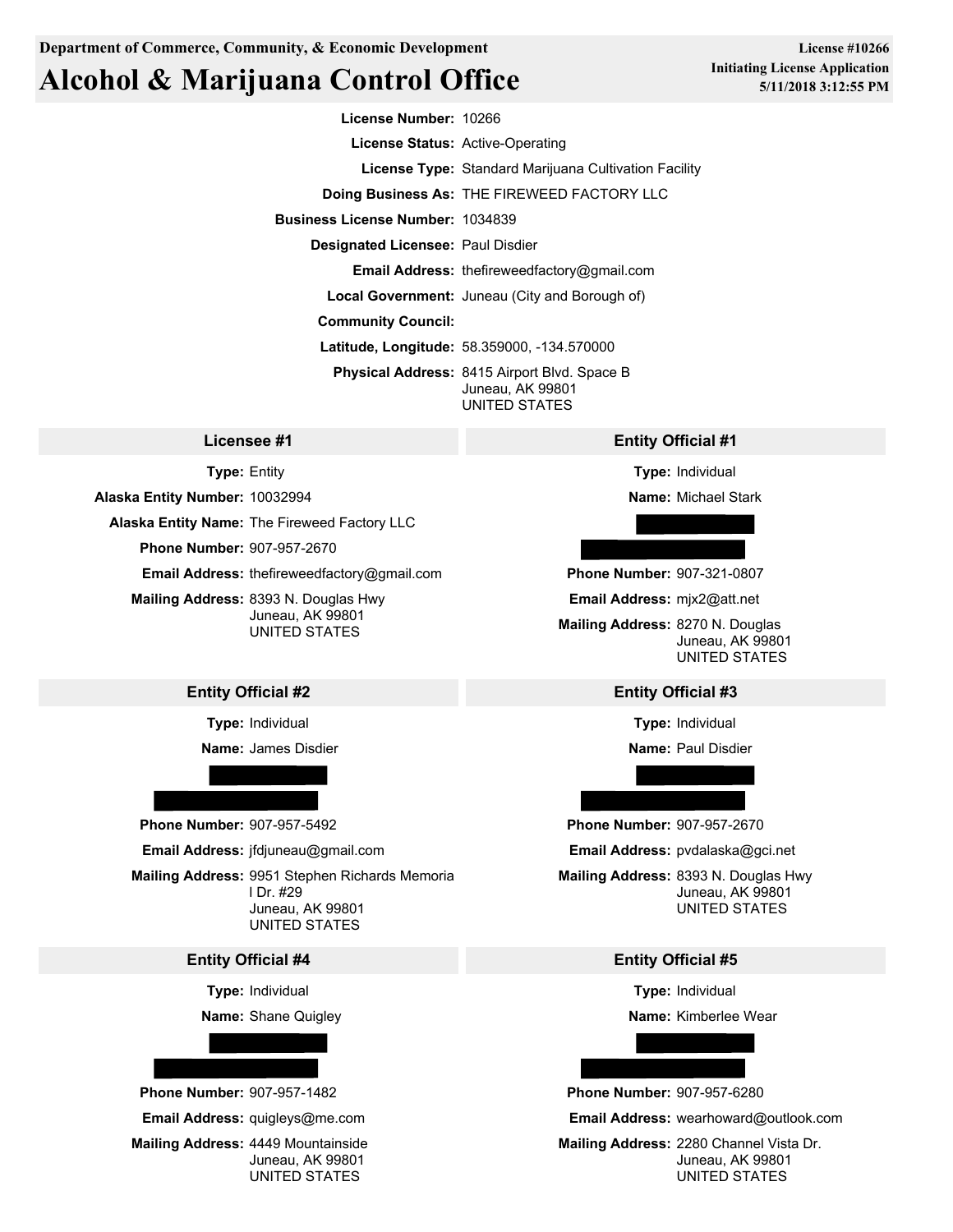# **Alcohol & Marijuana Control Office**

**License Number:** 10266

**License Status:** Active-Operating

**License Type:** Standard Marijuana Cultivation Facility

**Doing Business As:** THE FIREWEED FACTORY LLC

**Business License Number:** 1034839

**Designated Licensee:** Paul Disdier

**Email Address:** thefireweedfactory@gmail.com

**Local Government:** Juneau (City and Borough of)

**Community Council:**

**Latitude, Longitude:** 58.359000, -134.570000

**Physical Address:** 8415 Airport Blvd. Space B Juneau, AK 99801 UNITED STATES

**Type:** Entity

**Alaska Entity Number:** 10032994

**Alaska Entity Name:** The Fireweed Factory LLC

**Phone Number:** 907-957-2670

**Email Address:** thefireweedfactory@gmail.com

**Mailing Address:** 8393 N. Douglas Hwy UNITED STATES

# **Entity Official #2 Entity Official #3**

**Type:** Individual

**Name:** James Disdier



**Phone Number:** 907-957-5492 **Phone Number:** 907-957-2670

**Email Address:** jfdjuneau@gmail.com

**Mailing Address:** 9951 Stephen Richards Memoria Juneau, AK 99801 UNITED STATES

### **Entity Official #4 Entity Official #5**

**Type:** Individual

**Name:** Shane Quigley



### **Licensee #1 Entity Official #1**

**Type:** Individual

**Name:** Michael Stark

**Phone Number:** 907-321-0807

**Email Address:** mjx2@att.net

Juneau, AK 99801 **Mailing Address:** 8270 N. Douglas Juneau, AK 99801 UNITED STATES

**Type:** Individual

**Name:** Paul Disdier

**Email Address:** pvdalaska@gci.net

l Dr. #29 Juneau, AK 99801 **Mailing Address:** 8393 N. Douglas Hwy UNITED STATES

**Type:** Individual

**Name:** Kimberlee Wear

**Email Address:** quigleys@me.com **Email Address:** wearhoward@outlook.com

**Mailing Address:** 4449 Mountainside **Mailing Address:** 2280 Channel Vista Dr. Juneau, AK 99801 Juneau, AK 99801 UNITED STATES **EXECUTED STATES** UNITED STATES